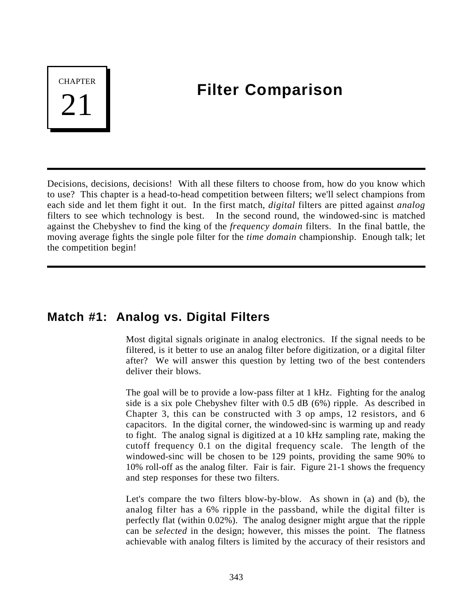# **CHAPTER**

## **Filter Comparison**

Decisions, decisions, decisions! With all these filters to choose from, how do you know which to use? This chapter is a head-to-head competition between filters; we'll select champions from each side and let them fight it out. In the first match, *digital* filters are pitted against *analog* filters to see which technology is best. In the second round, the windowed-sinc is matched against the Chebyshev to find the king of the *frequency domain* filters. In the final battle, the moving average fights the single pole filter for the *time domain* championship. Enough talk; let the competition begin!

## **Match #1: Analog vs. Digital Filters**

Most digital signals originate in analog electronics. If the signal needs to be filtered, is it better to use an analog filter before digitization, or a digital filter after? We will answer this question by letting two of the best contenders deliver their blows.

The goal will be to provide a low-pass filter at 1 kHz. Fighting for the analog side is a six pole Chebyshev filter with 0.5 dB (6%) ripple. As described in Chapter 3, this can be constructed with 3 op amps, 12 resistors, and 6 capacitors. In the digital corner, the windowed-sinc is warming up and ready to fight. The analog signal is digitized at a 10 kHz sampling rate, making the cutoff frequency 0.1 on the digital frequency scale. The length of the windowed-sinc will be chosen to be 129 points, providing the same 90% to 10% roll-off as the analog filter. Fair is fair. Figure 21-1 shows the frequency and step responses for these two filters.

Let's compare the two filters blow-by-blow. As shown in (a) and (b), the analog filter has a 6% ripple in the passband, while the digital filter is perfectly flat (within 0.02%). The analog designer might argue that the ripple can be *selected* in the design; however, this misses the point. The flatness achievable with analog filters is limited by the accuracy of their resistors and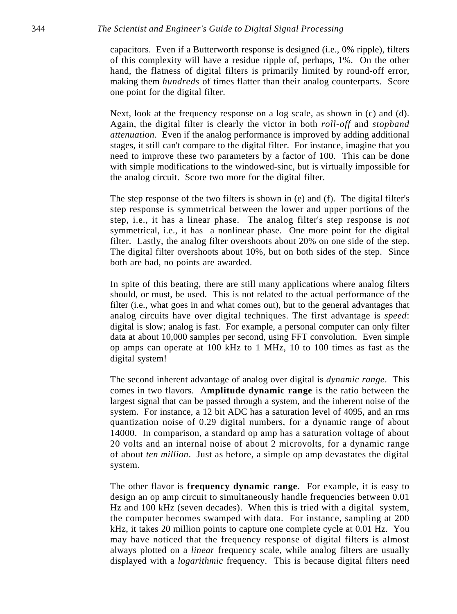#### 344 *The Scientist and Engineer's Guide to Digital Signal Processing*

capacitors. Even if a Butterworth response is designed (i.e., 0% ripple), filters of this complexity will have a residue ripple of, perhaps, 1%. On the other hand, the flatness of digital filters is primarily limited by round-off error, making them *hundreds* of times flatter than their analog counterparts. Score one point for the digital filter.

Next, look at the frequency response on a log scale, as shown in (c) and (d). Again, the digital filter is clearly the victor in both *roll-off* and *stopband attenuation*. Even if the analog performance is improved by adding additional stages, it still can't compare to the digital filter. For instance, imagine that you need to improve these two parameters by a factor of 100. This can be done with simple modifications to the windowed-sinc, but is virtually impossible for the analog circuit. Score two more for the digital filter.

The step response of the two filters is shown in (e) and (f). The digital filter's step response is symmetrical between the lower and upper portions of the step, i.e., it has a linear phase. The analog filter's step response is *not* symmetrical, i.e., it has a nonlinear phase. One more point for the digital filter. Lastly, the analog filter overshoots about 20% on one side of the step. The digital filter overshoots about 10%, but on both sides of the step. Since both are bad, no points are awarded.

In spite of this beating, there are still many applications where analog filters should, or must, be used. This is not related to the actual performance of the filter (i.e., what goes in and what comes out), but to the general advantages that analog circuits have over digital techniques. The first advantage is *speed*: digital is slow; analog is fast. For example, a personal computer can only filter data at about 10,000 samples per second, using FFT convolution. Even simple op amps can operate at 100 kHz to 1 MHz, 10 to 100 times as fast as the digital system!

The second inherent advantage of analog over digital is *dynamic range*. This comes in two flavors. A**mplitude dynamic range** is the ratio between the largest signal that can be passed through a system, and the inherent noise of the system. For instance, a 12 bit ADC has a saturation level of 4095, and an rms quantization noise of 0.29 digital numbers, for a dynamic range of about 14000. In comparison, a standard op amp has a saturation voltage of about 20 volts and an internal noise of about 2 microvolts, for a dynamic range of about *ten million*. Just as before, a simple op amp devastates the digital system.

The other flavor is **frequency dynamic range**. For example, it is easy to design an op amp circuit to simultaneously handle frequencies between 0.01 Hz and 100 kHz (seven decades). When this is tried with a digital system, the computer becomes swamped with data. For instance, sampling at 200 kHz, it takes 20 million points to capture one complete cycle at 0.01 Hz. You may have noticed that the frequency response of digital filters is almost always plotted on a *linear* frequency scale, while analog filters are usually displayed with a *logarithmic* frequency. This is because digital filters need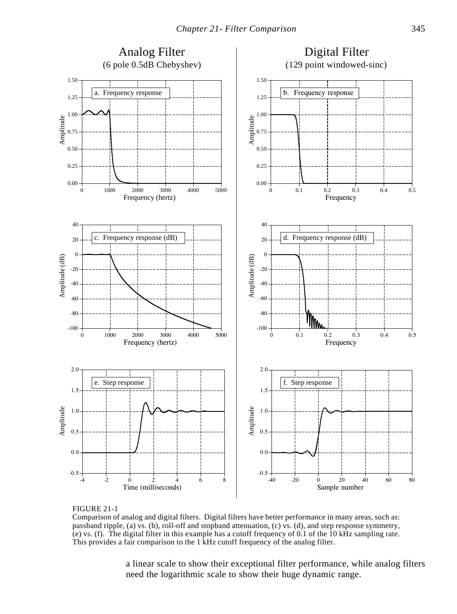



Comparison of analog and digital filters. Digital filters have better performance in many areas, such as: passband ripple, (a) vs. (b), roll-off and stopband attenuation, (c) vs. (d), and step response symmetry,  $(e)$  vs. (f). The digital filter in this example has a cutoff frequency of 0.1 of the 10 kHz sampling rate. This provides a fair comparison to the 1 kHz cutoff frequency of the analog filter.

a linear scale to show their exceptional filter performance, while analog filters need the logarithmic scale to show their huge dynamic range.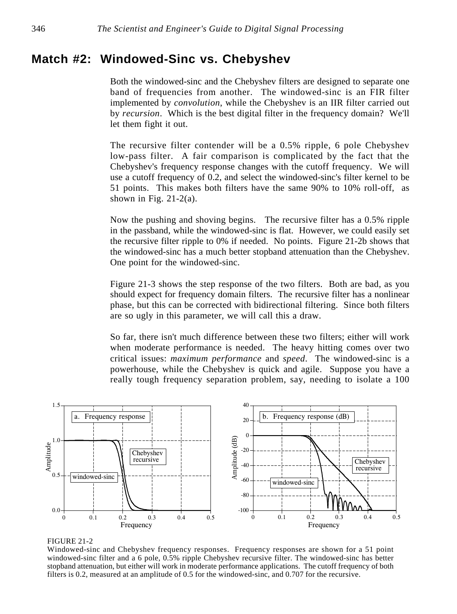## **Match #2: Windowed-Sinc vs. Chebyshev**

Both the windowed-sinc and the Chebyshev filters are designed to separate one band of frequencies from another. The windowed-sinc is an FIR filter implemented by *convolution*, while the Chebyshev is an IIR filter carried out by *recursion*. Which is the best digital filter in the frequency domain? We'll let them fight it out.

The recursive filter contender will be a 0.5% ripple, 6 pole Chebyshev low-pass filter. A fair comparison is complicated by the fact that the Chebyshev's frequency response changes with the cutoff frequency. We will use a cutoff frequency of 0.2, and select the windowed-sinc's filter kernel to be 51 points. This makes both filters have the same 90% to 10% roll-off, as shown in Fig.  $21-2(a)$ .

Now the pushing and shoving begins. The recursive filter has a 0.5% ripple in the passband, while the windowed-sinc is flat. However, we could easily set the recursive filter ripple to 0% if needed. No points. Figure 21-2b shows that the windowed-sinc has a much better stopband attenuation than the Chebyshev. One point for the windowed-sinc.

Figure 21-3 shows the step response of the two filters. Both are bad, as you should expect for frequency domain filters. The recursive filter has a nonlinear phase, but this can be corrected with bidirectional filtering. Since both filters are so ugly in this parameter, we will call this a draw.

So far, there isn't much difference between these two filters; either will work when moderate performance is needed. The heavy hitting comes over two critical issues: *maximum performance* and *speed*. The windowed-sinc is a powerhouse, while the Chebyshev is quick and agile. Suppose you have a really tough frequency separation problem, say, needing to isolate a 100



#### FIGURE 21-2

Windowed-sinc and Chebyshev frequency responses. Frequency responses are shown for a 51 point windowed-sinc filter and a 6 pole, 0.5% ripple Chebyshev recursive filter. The windowed-sinc has better stopband attenuation, but either will work in moderate performance applications. The cutoff frequency of both filters is 0.2, measured at an amplitude of 0.5 for the windowed-sinc, and 0.707 for the recursive.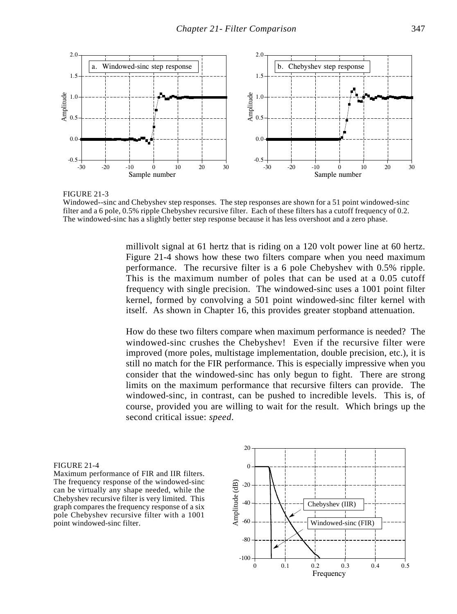

FIGURE 21-3 Windowed--sinc and Chebyshev step responses. The step responses are shown for a 51 point windowed-sinc filter and a 6 pole, 0.5% ripple Chebyshev recursive filter. Each of these filters has a cutoff frequency of 0.2. The windowed-sinc has a slightly better step response because it has less overshoot and a zero phase.

millivolt signal at 61 hertz that is riding on a 120 volt power line at 60 hertz. Figure 21-4 shows how these two filters compare when you need maximum performance. The recursive filter is a 6 pole Chebyshev with 0.5% ripple. This is the maximum number of poles that can be used at a 0.05 cutoff frequency with single precision. The windowed-sinc uses a 1001 point filter kernel, formed by convolving a 501 point windowed-sinc filter kernel with itself. As shown in Chapter 16, this provides greater stopband attenuation.

How do these two filters compare when maximum performance is needed? The windowed-sinc crushes the Chebyshev! Even if the recursive filter were improved (more poles, multistage implementation, double precision, etc.), it is still no match for the FIR performance. This is especially impressive when you consider that the windowed-sinc has only begun to fight. There are strong limits on the maximum performance that recursive filters can provide. The windowed-sinc, in contrast, can be pushed to incredible levels. This is, of course, provided you are willing to wait for the result. Which brings up the second critical issue: *speed*.

#### FIGURE 21-4

Maximum performance of FIR and IIR filters. The frequency response of the windowed-sinc can be virtually any shape needed, while the Chebyshev recursive filter is very limited. This graph compares the frequency response of a six pole Chebyshev recursive filter with a 1001 point windowed-sinc filter.

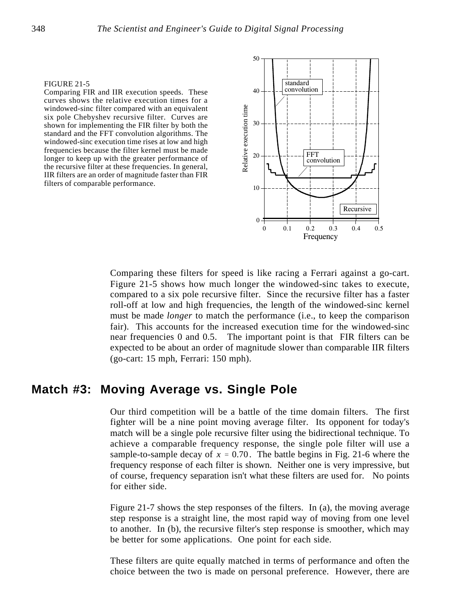#### FIGURE 21-5

Comparing FIR and IIR execution speeds. These curves shows the relative execution times for a windowed-sinc filter compared with an equivalent six pole Chebyshev recursive filter. Curves are shown for implementing the FIR filter by both the standard and the FFT convolution algorithms. The windowed-sinc execution time rises at low and high frequencies because the filter kernel must be made longer to keep up with the greater performance of the recursive filter at these frequencies. In general, IIR filters are an order of magnitude faster than FIR filters of comparable performance.



Comparing these filters for speed is like racing a Ferrari against a go-cart. Figure 21-5 shows how much longer the windowed-sinc takes to execute, compared to a six pole recursive filter. Since the recursive filter has a faster roll-off at low and high frequencies, the length of the windowed-sinc kernel must be made *longer* to match the performance (i.e., to keep the comparison fair). This accounts for the increased execution time for the windowed-sinc near frequencies 0 and 0.5. The important point is that FIR filters can be expected to be about an order of magnitude slower than comparable IIR filters (go-cart: 15 mph, Ferrari: 150 mph).

### **Match #3: Moving Average vs. Single Pole**

Our third competition will be a battle of the time domain filters. The first fighter will be a nine point moving average filter. Its opponent for today's match will be a single pole recursive filter using the bidirectional technique. To achieve a comparable frequency response, the single pole filter will use a sample-to-sample decay of  $x = 0.70$ . The battle begins in Fig. 21-6 where the frequency response of each filter is shown. Neither one is very impressive, but of course, frequency separation isn't what these filters are used for. No points for either side.

Figure 21-7 shows the step responses of the filters. In (a), the moving average step response is a straight line, the most rapid way of moving from one level to another. In (b), the recursive filter's step response is smoother, which may be better for some applications. One point for each side.

These filters are quite equally matched in terms of performance and often the choice between the two is made on personal preference. However, there are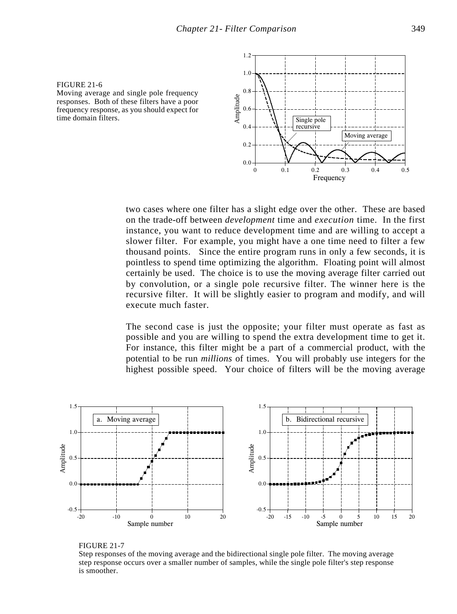FIGURE 21-6

Moving average and single pole frequency responses. Both of these filters have a poor frequency response, as you should expect for time domain filters.



two cases where one filter has a slight edge over the other. These are based on the trade-off between *development* time and *execution* time. In the first instance, you want to reduce development time and are willing to accept a slower filter. For example, you might have a one time need to filter a few thousand points. Since the entire program runs in only a few seconds, it is pointless to spend time optimizing the algorithm. Floating point will almost certainly be used. The choice is to use the moving average filter carried out by convolution, or a single pole recursive filter. The winner here is the recursive filter. It will be slightly easier to program and modify, and will execute much faster.

The second case is just the opposite; your filter must operate as fast as possible and you are willing to spend the extra development time to get it. For instance, this filter might be a part of a commercial product, with the potential to be run *millions* of times. You will probably use integers for the highest possible speed. Your choice of filters will be the moving average



#### FIGURE 21-7

Step responses of the moving average and the bidirectional single pole filter. The moving average step response occurs over a smaller number of samples, while the single pole filter's step response is smoother.